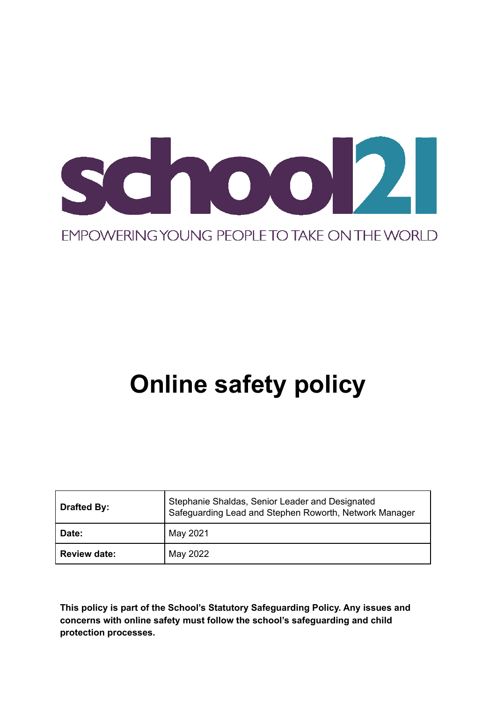

# **Online safety policy**

| <b>Drafted By:</b>  | Stephanie Shaldas, Senior Leader and Designated<br>Safeguarding Lead and Stephen Roworth, Network Manager |
|---------------------|-----------------------------------------------------------------------------------------------------------|
| Date:               | May 2021                                                                                                  |
| <b>Review date:</b> | May 2022                                                                                                  |

**This policy is part of the School's Statutory Safeguarding Policy. Any issues and concerns with online safety must follow the school's safeguarding and child protection processes.**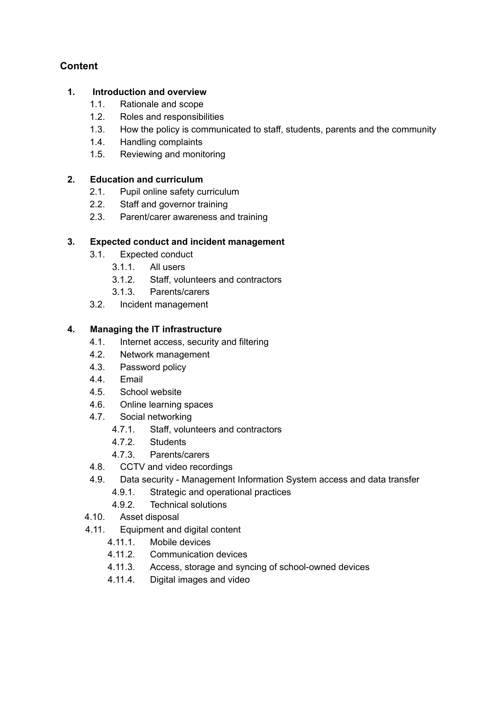# **Content**

#### **1. Introduction and overview**

- 1.1. Rationale and scope
- 1.2. Roles and responsibilities
- 1.3. How the policy is communicated to staff, students, parents and the community
- 1.4. Handling complaints
- 1.5. Reviewing and monitoring

#### **2. Education and curriculum**

- 2.1. Pupil online safety curriculum
- 2.2. Staff and governor training
- 2.3. Parent/carer awareness and training

#### **3. Expected conduct and incident management**

- 3.1. Expected conduct
	- 3.1.1. All users
	- 3.1.2. Staff, volunteers and contractors
	- 3.1.3. Parents/carers
- 3.2. Incident management

#### **4. Managing the IT infrastructure**

- 4.1. Internet access, security and filtering
- 4.2. Network management
- 4.3. Password policy
- 4.4. Email
- 4.5. School website
- 4.6. Online learning spaces
- 4.7. Social networking
	- 4.7.1. Staff, volunteers and contractors
	- 4.7.2. Students
	- 4.7.3. Parents/carers
- 4.8. CCTV and video recordings
- 4.9. Data security Management Information System access and data transfer
	- 4.9.1. Strategic and operational practices
	- 4.9.2. Technical solutions
- 4.10. Asset disposal
- 4.11. Equipment and digital content
	- 4.11.1. Mobile devices
	- 4.11.2. Communication devices
	- 4.11.3. Access, storage and syncing of school-owned devices
	- 4.11.4. Digital images and video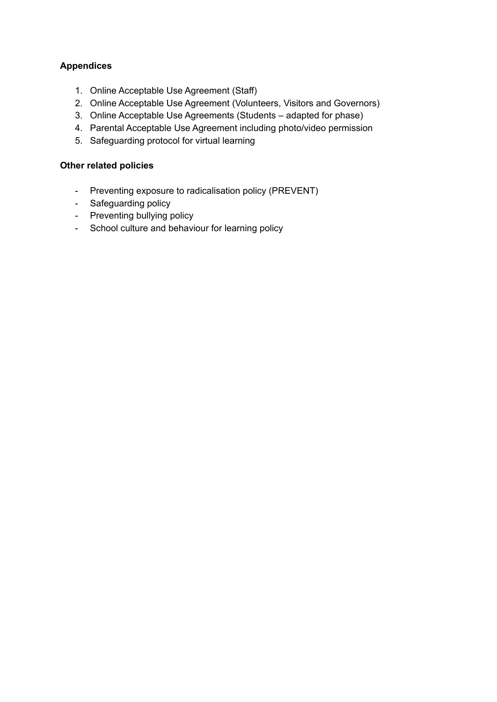#### **Appendices**

- 1. Online Acceptable Use Agreement (Staff)
- 2. Online Acceptable Use Agreement (Volunteers, Visitors and Governors)
- 3. Online Acceptable Use Agreements (Students adapted for phase)
- 4. Parental Acceptable Use Agreement including photo/video permission
- 5. Safeguarding protocol for virtual learning

#### **Other related policies**

- Preventing exposure to radicalisation policy (PREVENT)
- Safeguarding policy
- Preventing bullying policy
- School culture and behaviour for learning policy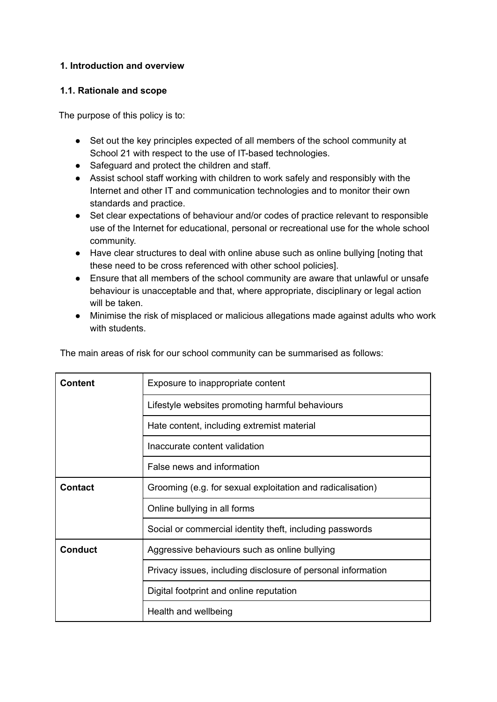#### **1. Introduction and overview**

#### **1.1. Rationale and scope**

The purpose of this policy is to:

- Set out the key principles expected of all members of the school community at School 21 with respect to the use of IT-based technologies.
- Safeguard and protect the children and staff.
- Assist school staff working with children to work safely and responsibly with the Internet and other IT and communication technologies and to monitor their own standards and practice.
- Set clear expectations of behaviour and/or codes of practice relevant to responsible use of the Internet for educational, personal or recreational use for the whole school community.
- Have clear structures to deal with online abuse such as online bullying [noting that these need to be cross referenced with other school policies].
- Ensure that all members of the school community are aware that unlawful or unsafe behaviour is unacceptable and that, where appropriate, disciplinary or legal action will be taken.
- Minimise the risk of misplaced or malicious allegations made against adults who work with students

|  |  |  | The main areas of risk for our school community can be summarised as follows: |  |
|--|--|--|-------------------------------------------------------------------------------|--|
|  |  |  |                                                                               |  |

| Content        | Exposure to inappropriate content                            |  |
|----------------|--------------------------------------------------------------|--|
|                | Lifestyle websites promoting harmful behaviours              |  |
|                | Hate content, including extremist material                   |  |
|                | Inaccurate content validation                                |  |
|                | False news and information                                   |  |
| <b>Contact</b> | Grooming (e.g. for sexual exploitation and radicalisation)   |  |
|                | Online bullying in all forms                                 |  |
|                | Social or commercial identity theft, including passwords     |  |
| <b>Conduct</b> | Aggressive behaviours such as online bullying                |  |
|                | Privacy issues, including disclosure of personal information |  |
|                | Digital footprint and online reputation                      |  |
|                | Health and wellbeing                                         |  |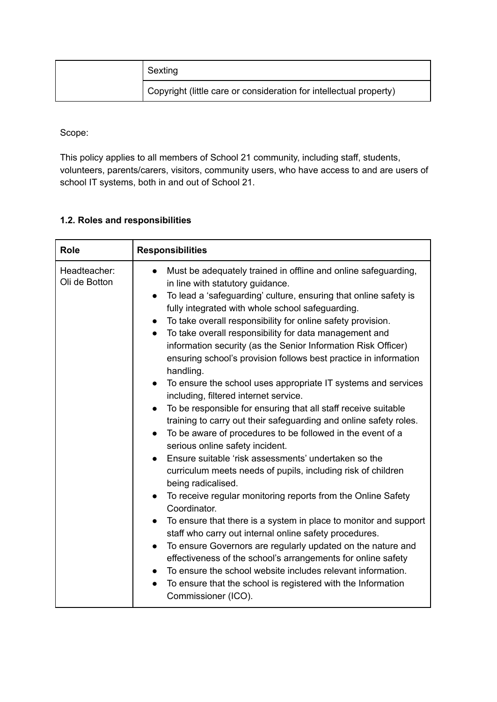| Sexting                                                            |
|--------------------------------------------------------------------|
| Copyright (little care or consideration for intellectual property) |

Scope:

This policy applies to all members of School 21 community, including staff, students, volunteers, parents/carers, visitors, community users, who have access to and are users of school IT systems, both in and out of School 21.

#### **1.2. Roles and responsibilities**

| <b>Role</b>                   | <b>Responsibilities</b>                                                                                                                                                                                                                                                                                                                                                                                                                                                                                                                                                                                                                                                                                                                                                                                                                                                                                                                                                                                                                                                                                                                                                                                                                                                                                                                                                                                                                                                                                                                                                                                                                    |
|-------------------------------|--------------------------------------------------------------------------------------------------------------------------------------------------------------------------------------------------------------------------------------------------------------------------------------------------------------------------------------------------------------------------------------------------------------------------------------------------------------------------------------------------------------------------------------------------------------------------------------------------------------------------------------------------------------------------------------------------------------------------------------------------------------------------------------------------------------------------------------------------------------------------------------------------------------------------------------------------------------------------------------------------------------------------------------------------------------------------------------------------------------------------------------------------------------------------------------------------------------------------------------------------------------------------------------------------------------------------------------------------------------------------------------------------------------------------------------------------------------------------------------------------------------------------------------------------------------------------------------------------------------------------------------------|
| Headteacher:<br>Oli de Botton | Must be adequately trained in offline and online safeguarding,<br>$\bullet$<br>in line with statutory guidance.<br>To lead a 'safeguarding' culture, ensuring that online safety is<br>$\bullet$<br>fully integrated with whole school safeguarding.<br>To take overall responsibility for online safety provision.<br>$\bullet$<br>To take overall responsibility for data management and<br>$\bullet$<br>information security (as the Senior Information Risk Officer)<br>ensuring school's provision follows best practice in information<br>handling.<br>To ensure the school uses appropriate IT systems and services<br>$\bullet$<br>including, filtered internet service.<br>To be responsible for ensuring that all staff receive suitable<br>$\bullet$<br>training to carry out their safeguarding and online safety roles.<br>To be aware of procedures to be followed in the event of a<br>$\bullet$<br>serious online safety incident.<br>Ensure suitable 'risk assessments' undertaken so the<br>curriculum meets needs of pupils, including risk of children<br>being radicalised.<br>To receive regular monitoring reports from the Online Safety<br>Coordinator.<br>To ensure that there is a system in place to monitor and support<br>$\bullet$<br>staff who carry out internal online safety procedures.<br>To ensure Governors are regularly updated on the nature and<br>$\bullet$<br>effectiveness of the school's arrangements for online safety<br>To ensure the school website includes relevant information.<br>To ensure that the school is registered with the Information<br>$\bullet$<br>Commissioner (ICO). |
|                               |                                                                                                                                                                                                                                                                                                                                                                                                                                                                                                                                                                                                                                                                                                                                                                                                                                                                                                                                                                                                                                                                                                                                                                                                                                                                                                                                                                                                                                                                                                                                                                                                                                            |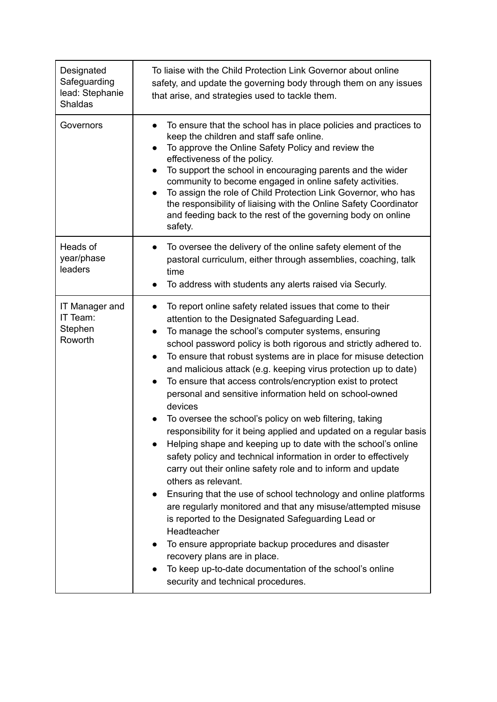| Designated<br>Safeguarding<br>lead: Stephanie<br><b>Shaldas</b> | To liaise with the Child Protection Link Governor about online<br>safety, and update the governing body through them on any issues<br>that arise, and strategies used to tackle them.                                                                                                                                                                                                                                                                                                                                                                                                                                                                                                                                                                                                                                                                                                                                                                                                                                                                                                                                                                                                                                                                                                                |
|-----------------------------------------------------------------|------------------------------------------------------------------------------------------------------------------------------------------------------------------------------------------------------------------------------------------------------------------------------------------------------------------------------------------------------------------------------------------------------------------------------------------------------------------------------------------------------------------------------------------------------------------------------------------------------------------------------------------------------------------------------------------------------------------------------------------------------------------------------------------------------------------------------------------------------------------------------------------------------------------------------------------------------------------------------------------------------------------------------------------------------------------------------------------------------------------------------------------------------------------------------------------------------------------------------------------------------------------------------------------------------|
| Governors                                                       | To ensure that the school has in place policies and practices to<br>keep the children and staff safe online.<br>To approve the Online Safety Policy and review the<br>$\bullet$<br>effectiveness of the policy.<br>To support the school in encouraging parents and the wider<br>community to become engaged in online safety activities.<br>To assign the role of Child Protection Link Governor, who has<br>the responsibility of liaising with the Online Safety Coordinator<br>and feeding back to the rest of the governing body on online<br>safety.                                                                                                                                                                                                                                                                                                                                                                                                                                                                                                                                                                                                                                                                                                                                           |
| Heads of<br>year/phase<br>leaders                               | To oversee the delivery of the online safety element of the<br>$\bullet$<br>pastoral curriculum, either through assemblies, coaching, talk<br>time<br>To address with students any alerts raised via Securly.<br>$\bullet$                                                                                                                                                                                                                                                                                                                                                                                                                                                                                                                                                                                                                                                                                                                                                                                                                                                                                                                                                                                                                                                                           |
| IT Manager and<br>IT Team:<br>Stephen<br>Roworth                | To report online safety related issues that come to their<br>attention to the Designated Safeguarding Lead.<br>To manage the school's computer systems, ensuring<br>school password policy is both rigorous and strictly adhered to.<br>To ensure that robust systems are in place for misuse detection<br>$\bullet$<br>and malicious attack (e.g. keeping virus protection up to date)<br>To ensure that access controls/encryption exist to protect<br>$\bullet$<br>personal and sensitive information held on school-owned<br>devices<br>To oversee the school's policy on web filtering, taking<br>responsibility for it being applied and updated on a regular basis<br>Helping shape and keeping up to date with the school's online<br>safety policy and technical information in order to effectively<br>carry out their online safety role and to inform and update<br>others as relevant.<br>Ensuring that the use of school technology and online platforms<br>are regularly monitored and that any misuse/attempted misuse<br>is reported to the Designated Safeguarding Lead or<br>Headteacher<br>To ensure appropriate backup procedures and disaster<br>recovery plans are in place.<br>To keep up-to-date documentation of the school's online<br>security and technical procedures. |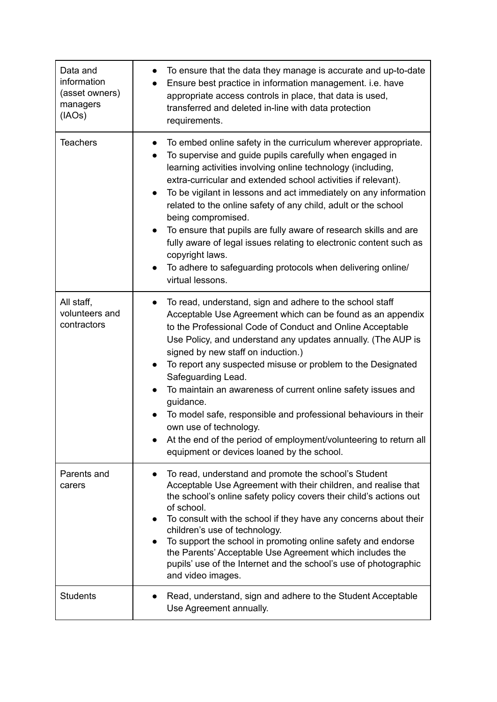| Data and<br>information<br>(asset owners)<br>managers<br>(IAOS) | To ensure that the data they manage is accurate and up-to-date<br>Ensure best practice in information management. i.e. have<br>appropriate access controls in place, that data is used,<br>transferred and deleted in-line with data protection<br>requirements.                                                                                                                                                                                                                                                                                                                                                                                                                                             |
|-----------------------------------------------------------------|--------------------------------------------------------------------------------------------------------------------------------------------------------------------------------------------------------------------------------------------------------------------------------------------------------------------------------------------------------------------------------------------------------------------------------------------------------------------------------------------------------------------------------------------------------------------------------------------------------------------------------------------------------------------------------------------------------------|
| <b>Teachers</b>                                                 | To embed online safety in the curriculum wherever appropriate.<br>$\bullet$<br>To supervise and guide pupils carefully when engaged in<br>learning activities involving online technology (including,<br>extra-curricular and extended school activities if relevant).<br>To be vigilant in lessons and act immediately on any information<br>$\bullet$<br>related to the online safety of any child, adult or the school<br>being compromised.<br>To ensure that pupils are fully aware of research skills and are<br>fully aware of legal issues relating to electronic content such as<br>copyright laws.<br>To adhere to safeguarding protocols when delivering online/<br>$\bullet$<br>virtual lessons. |
| All staff,<br>volunteers and<br>contractors                     | To read, understand, sign and adhere to the school staff<br>Acceptable Use Agreement which can be found as an appendix<br>to the Professional Code of Conduct and Online Acceptable<br>Use Policy, and understand any updates annually. (The AUP is<br>signed by new staff on induction.)<br>To report any suspected misuse or problem to the Designated<br>Safeguarding Lead.<br>To maintain an awareness of current online safety issues and<br>guidance.<br>To model safe, responsible and professional behaviours in their<br>own use of technology.<br>At the end of the period of employment/volunteering to return all<br>equipment or devices loaned by the school.                                  |
| Parents and<br>carers                                           | To read, understand and promote the school's Student<br>Acceptable Use Agreement with their children, and realise that<br>the school's online safety policy covers their child's actions out<br>of school.<br>To consult with the school if they have any concerns about their<br>children's use of technology.<br>To support the school in promoting online safety and endorse<br>$\bullet$<br>the Parents' Acceptable Use Agreement which includes the<br>pupils' use of the Internet and the school's use of photographic<br>and video images.                                                                                                                                                            |
| <b>Students</b>                                                 | Read, understand, sign and adhere to the Student Acceptable<br>Use Agreement annually.                                                                                                                                                                                                                                                                                                                                                                                                                                                                                                                                                                                                                       |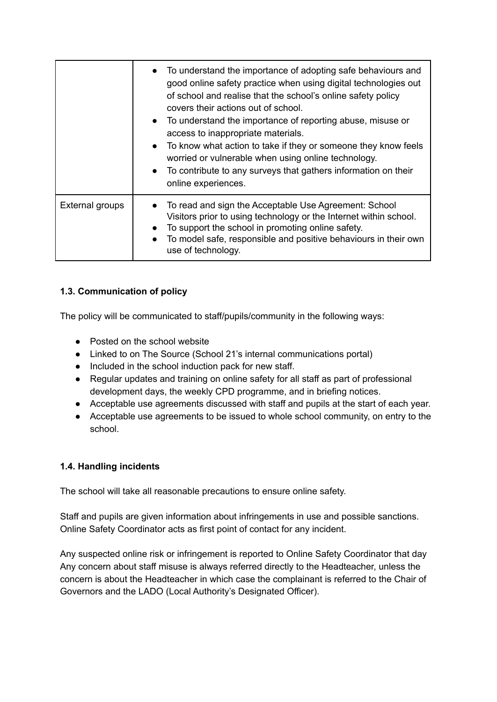|                 | • To understand the importance of adopting safe behaviours and<br>good online safety practice when using digital technologies out<br>of school and realise that the school's online safety policy<br>covers their actions out of school.<br>• To understand the importance of reporting abuse, misuse or<br>access to inappropriate materials.<br>To know what action to take if they or someone they know feels<br>worried or vulnerable when using online technology.<br>• To contribute to any surveys that gathers information on their<br>online experiences. |
|-----------------|--------------------------------------------------------------------------------------------------------------------------------------------------------------------------------------------------------------------------------------------------------------------------------------------------------------------------------------------------------------------------------------------------------------------------------------------------------------------------------------------------------------------------------------------------------------------|
| External groups | To read and sign the Acceptable Use Agreement: School<br>Visitors prior to using technology or the Internet within school.<br>To support the school in promoting online safety.<br>To model safe, responsible and positive behaviours in their own<br>use of technology.                                                                                                                                                                                                                                                                                           |

# **1.3. Communication of policy**

The policy will be communicated to staff/pupils/community in the following ways:

- Posted on the school website
- Linked to on The Source (School 21's internal communications portal)
- Included in the school induction pack for new staff.
- Regular updates and training on online safety for all staff as part of professional development days, the weekly CPD programme, and in briefing notices.
- Acceptable use agreements discussed with staff and pupils at the start of each year.
- Acceptable use agreements to be issued to whole school community, on entry to the school.

# **1.4. Handling incidents**

The school will take all reasonable precautions to ensure online safety.

Staff and pupils are given information about infringements in use and possible sanctions. Online Safety Coordinator acts as first point of contact for any incident.

Any suspected online risk or infringement is reported to Online Safety Coordinator that day Any concern about staff misuse is always referred directly to the Headteacher, unless the concern is about the Headteacher in which case the complainant is referred to the Chair of Governors and the LADO (Local Authority's Designated Officer).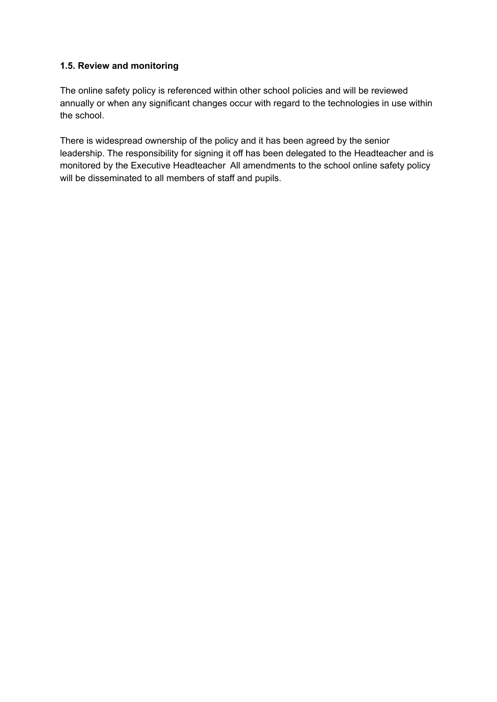#### **1.5. Review and monitoring**

The online safety policy is referenced within other school policies and will be reviewed annually or when any significant changes occur with regard to the technologies in use within the school.

There is widespread ownership of the policy and it has been agreed by the senior leadership. The responsibility for signing it off has been delegated to the Headteacher and is monitored by the Executive Headteacher All amendments to the school online safety policy will be disseminated to all members of staff and pupils.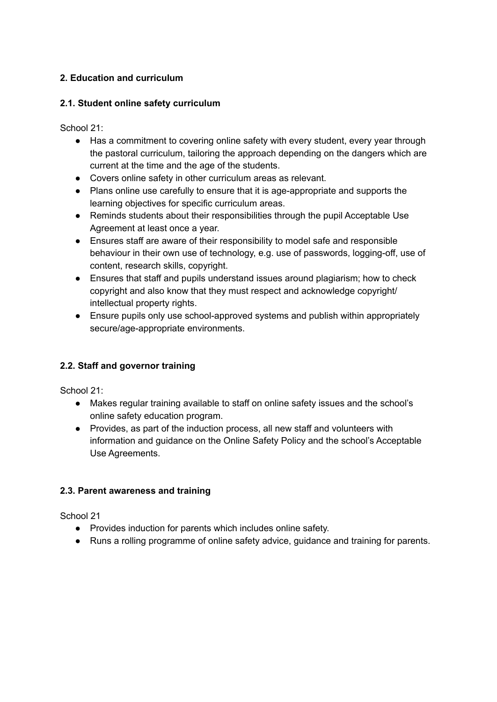## **2. Education and curriculum**

#### **2.1. Student online safety curriculum**

School 21:

- Has a commitment to covering online safety with every student, every year through the pastoral curriculum, tailoring the approach depending on the dangers which are current at the time and the age of the students.
- Covers online safety in other curriculum areas as relevant.
- Plans online use carefully to ensure that it is age-appropriate and supports the learning objectives for specific curriculum areas.
- Reminds students about their responsibilities through the pupil Acceptable Use Agreement at least once a year.
- Ensures staff are aware of their responsibility to model safe and responsible behaviour in their own use of technology, e.g. use of passwords, logging-off, use of content, research skills, copyright.
- Ensures that staff and pupils understand issues around plagiarism; how to check copyright and also know that they must respect and acknowledge copyright/ intellectual property rights.
- Ensure pupils only use school-approved systems and publish within appropriately secure/age-appropriate environments.

#### **2.2. Staff and governor training**

School 21:

- Makes regular training available to staff on online safety issues and the school's online safety education program.
- Provides, as part of the induction process, all new staff and volunteers with information and guidance on the Online Safety Policy and the school's Acceptable Use Agreements.

#### **2.3. Parent awareness and training**

School 21

- Provides induction for parents which includes online safety.
- Runs a rolling programme of online safety advice, guidance and training for parents.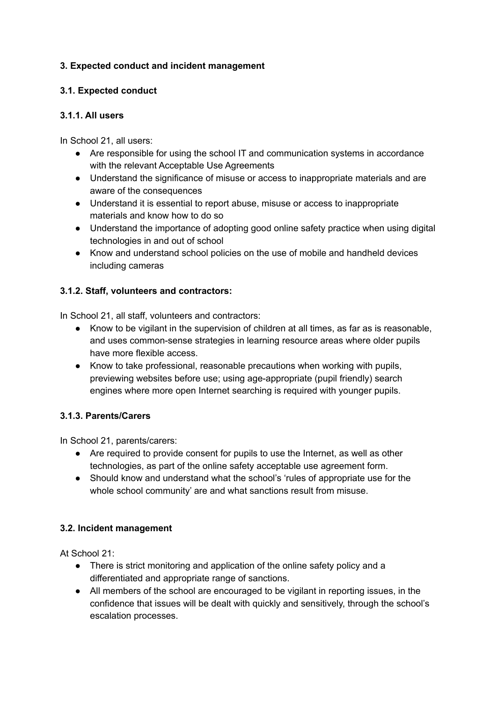#### **3. Expected conduct and incident management**

#### **3.1. Expected conduct**

#### **3.1.1. All users**

In School 21, all users:

- Are responsible for using the school IT and communication systems in accordance with the relevant Acceptable Use Agreements
- Understand the significance of misuse or access to inappropriate materials and are aware of the consequences
- Understand it is essential to report abuse, misuse or access to inappropriate materials and know how to do so
- Understand the importance of adopting good online safety practice when using digital technologies in and out of school
- Know and understand school policies on the use of mobile and handheld devices including cameras

#### **3.1.2. Staff, volunteers and contractors:**

In School 21, all staff, volunteers and contractors:

- Know to be vigilant in the supervision of children at all times, as far as is reasonable, and uses common-sense strategies in learning resource areas where older pupils have more flexible access.
- Know to take professional, reasonable precautions when working with pupils, previewing websites before use; using age-appropriate (pupil friendly) search engines where more open Internet searching is required with younger pupils.

#### **3.1.3. Parents/Carers**

In School 21, parents/carers:

- Are required to provide consent for pupils to use the Internet, as well as other technologies, as part of the online safety acceptable use agreement form.
- Should know and understand what the school's 'rules of appropriate use for the whole school community' are and what sanctions result from misuse.

#### **3.2. Incident management**

At School 21:

- There is strict monitoring and application of the online safety policy and a differentiated and appropriate range of sanctions.
- All members of the school are encouraged to be vigilant in reporting issues, in the confidence that issues will be dealt with quickly and sensitively, through the school's escalation processes.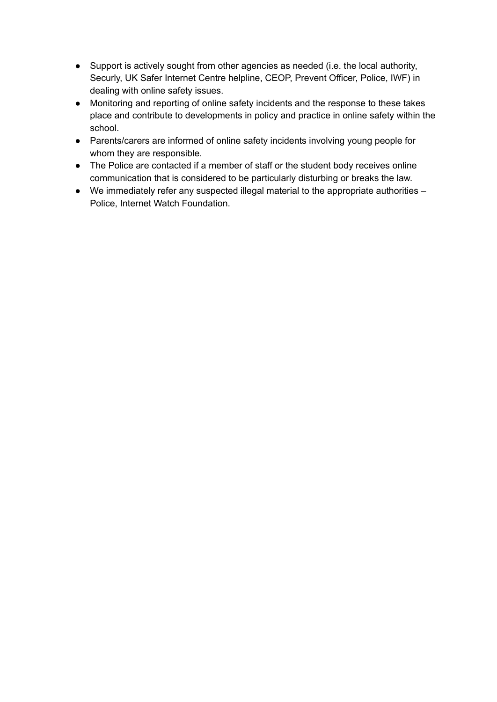- Support is actively sought from other agencies as needed (i.e. the local authority, Securly, UK Safer Internet Centre helpline, CEOP, Prevent Officer, Police, IWF) in dealing with online safety issues.
- Monitoring and reporting of online safety incidents and the response to these takes place and contribute to developments in policy and practice in online safety within the school.
- Parents/carers are informed of online safety incidents involving young people for whom they are responsible.
- The Police are contacted if a member of staff or the student body receives online communication that is considered to be particularly disturbing or breaks the law.
- We immediately refer any suspected illegal material to the appropriate authorities Police, Internet Watch Foundation.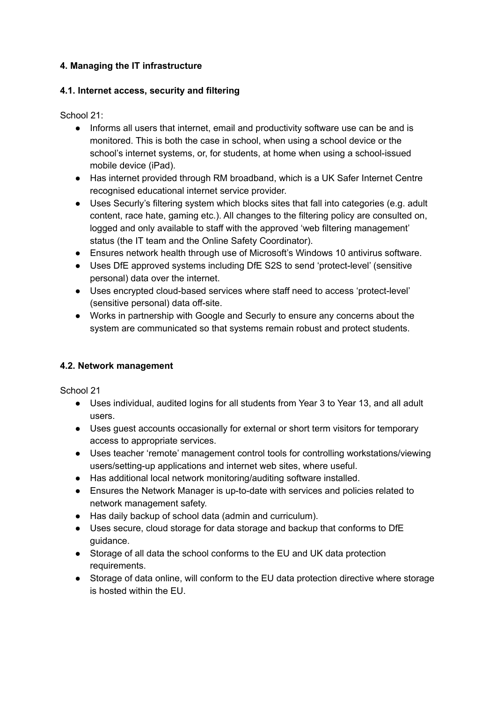#### **4. Managing the IT infrastructure**

#### **4.1. Internet access, security and filtering**

School 21:

- Informs all users that internet, email and productivity software use can be and is monitored. This is both the case in school, when using a school device or the school's internet systems, or, for students, at home when using a school-issued mobile device (iPad).
- Has internet provided through RM broadband, which is a UK Safer Internet Centre recognised educational internet service provider.
- Uses Securly's filtering system which blocks sites that fall into categories (e.g. adult content, race hate, gaming etc.). All changes to the filtering policy are consulted on, logged and only available to staff with the approved 'web filtering management' status (the IT team and the Online Safety Coordinator).
- Ensures network health through use of Microsoft's Windows 10 antivirus software.
- Uses DfE approved systems including DfE S2S to send 'protect-level' (sensitive personal) data over the internet.
- Uses encrypted cloud-based services where staff need to access 'protect-level' (sensitive personal) data off-site.
- Works in partnership with Google and Securly to ensure any concerns about the system are communicated so that systems remain robust and protect students.

# **4.2. Network management**

School 21

- Uses individual, audited logins for all students from Year 3 to Year 13, and all adult users.
- Uses guest accounts occasionally for external or short term visitors for temporary access to appropriate services.
- Uses teacher 'remote' management control tools for controlling workstations/viewing users/setting-up applications and internet web sites, where useful.
- Has additional local network monitoring/auditing software installed.
- Ensures the Network Manager is up-to-date with services and policies related to network management safety.
- Has daily backup of school data (admin and curriculum).
- Uses secure, cloud storage for data storage and backup that conforms to DfE guidance.
- Storage of all data the school conforms to the EU and UK data protection requirements.
- Storage of data online, will conform to the EU data protection directive where storage is hosted within the EU.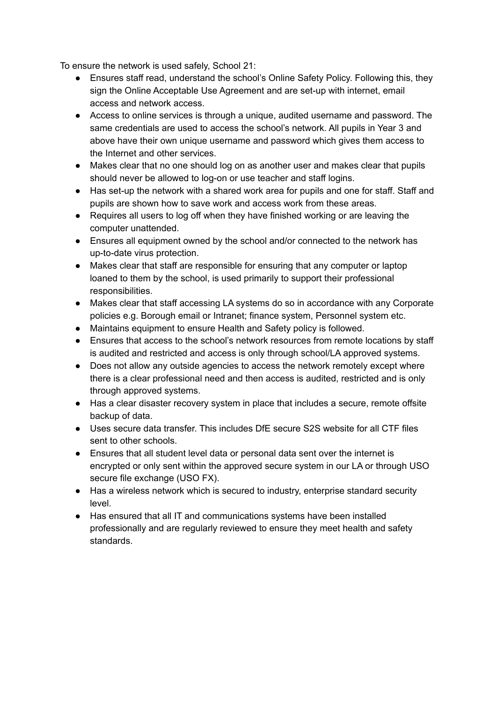To ensure the network is used safely, School 21:

- Ensures staff read, understand the school's Online Safety Policy. Following this, they sign the Online Acceptable Use Agreement and are set-up with internet, email access and network access.
- Access to online services is through a unique, audited username and password. The same credentials are used to access the school's network. All pupils in Year 3 and above have their own unique username and password which gives them access to the Internet and other services.
- Makes clear that no one should log on as another user and makes clear that pupils should never be allowed to log-on or use teacher and staff logins.
- Has set-up the network with a shared work area for pupils and one for staff. Staff and pupils are shown how to save work and access work from these areas.
- Requires all users to log off when they have finished working or are leaving the computer unattended.
- Ensures all equipment owned by the school and/or connected to the network has up-to-date virus protection.
- Makes clear that staff are responsible for ensuring that any computer or laptop loaned to them by the school, is used primarily to support their professional responsibilities.
- Makes clear that staff accessing LA systems do so in accordance with any Corporate policies e.g. Borough email or Intranet; finance system, Personnel system etc.
- Maintains equipment to ensure Health and Safety policy is followed.
- Ensures that access to the school's network resources from remote locations by staff is audited and restricted and access is only through school/LA approved systems.
- Does not allow any outside agencies to access the network remotely except where there is a clear professional need and then access is audited, restricted and is only through approved systems.
- Has a clear disaster recovery system in place that includes a secure, remote offsite backup of data.
- Uses secure data transfer. This includes DfE secure S2S website for all CTF files sent to other schools.
- Ensures that all student level data or personal data sent over the internet is encrypted or only sent within the approved secure system in our LA or through USO secure file exchange (USO FX).
- Has a wireless network which is secured to industry, enterprise standard security level.
- Has ensured that all IT and communications systems have been installed professionally and are regularly reviewed to ensure they meet health and safety standards.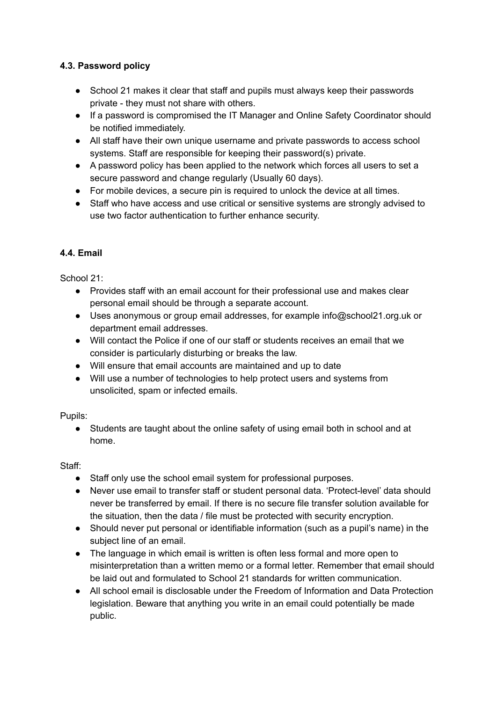#### **4.3. Password policy**

- School 21 makes it clear that staff and pupils must always keep their passwords private - they must not share with others.
- If a password is compromised the IT Manager and Online Safety Coordinator should be notified immediately.
- All staff have their own unique username and private passwords to access school systems. Staff are responsible for keeping their password(s) private.
- A password policy has been applied to the network which forces all users to set a secure password and change regularly (Usually 60 days).
- For mobile devices, a secure pin is required to unlock the device at all times.
- Staff who have access and use critical or sensitive systems are strongly advised to use two factor authentication to further enhance security.

# **4.4. Email**

School 21:

- Provides staff with an email account for their professional use and makes clear personal email should be through a separate account.
- Uses anonymous or group email addresses, for example info@school21.org.uk or department email addresses.
- Will contact the Police if one of our staff or students receives an email that we consider is particularly disturbing or breaks the law.
- Will ensure that email accounts are maintained and up to date
- Will use a number of technologies to help protect users and systems from unsolicited, spam or infected emails.

Pupils:

● Students are taught about the online safety of using email both in school and at home.

Staff:

- Staff only use the school email system for professional purposes.
- Never use email to transfer staff or student personal data. 'Protect-level' data should never be transferred by email. If there is no secure file transfer solution available for the situation, then the data / file must be protected with security encryption.
- Should never put personal or identifiable information (such as a pupil's name) in the subject line of an email.
- The language in which email is written is often less formal and more open to misinterpretation than a written memo or a formal letter. Remember that email should be laid out and formulated to School 21 standards for written communication.
- All school email is disclosable under the Freedom of Information and Data Protection legislation. Beware that anything you write in an email could potentially be made public.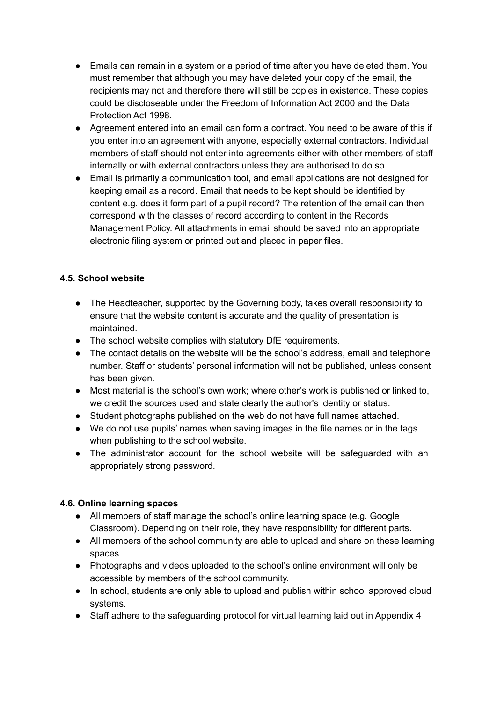- Emails can remain in a system or a period of time after you have deleted them. You must remember that although you may have deleted your copy of the email, the recipients may not and therefore there will still be copies in existence. These copies could be discloseable under the Freedom of Information Act 2000 and the Data Protection Act 1998.
- Agreement entered into an email can form a contract. You need to be aware of this if you enter into an agreement with anyone, especially external contractors. Individual members of staff should not enter into agreements either with other members of staff internally or with external contractors unless they are authorised to do so.
- Email is primarily a communication tool, and email applications are not designed for keeping email as a record. Email that needs to be kept should be identified by content e.g. does it form part of a pupil record? The retention of the email can then correspond with the classes of record according to content in the Records Management Policy. All attachments in email should be saved into an appropriate electronic filing system or printed out and placed in paper files.

#### **4.5. School website**

- The Headteacher, supported by the Governing body, takes overall responsibility to ensure that the website content is accurate and the quality of presentation is maintained.
- The school website complies with statutory DfE requirements.
- The contact details on the website will be the school's address, email and telephone number. Staff or students' personal information will not be published, unless consent has been given.
- Most material is the school's own work; where other's work is published or linked to, we credit the sources used and state clearly the author's identity or status.
- Student photographs published on the web do not have full names attached.
- We do not use pupils' names when saving images in the file names or in the tags when publishing to the school website.
- The administrator account for the school website will be safeguarded with an appropriately strong password.

#### **4.6. Online learning spaces**

- All members of staff manage the school's online learning space (e.g. Google Classroom). Depending on their role, they have responsibility for different parts.
- All members of the school community are able to upload and share on these learning spaces.
- Photographs and videos uploaded to the school's online environment will only be accessible by members of the school community.
- In school, students are only able to upload and publish within school approved cloud systems.
- Staff adhere to the safeguarding protocol for virtual learning laid out in Appendix 4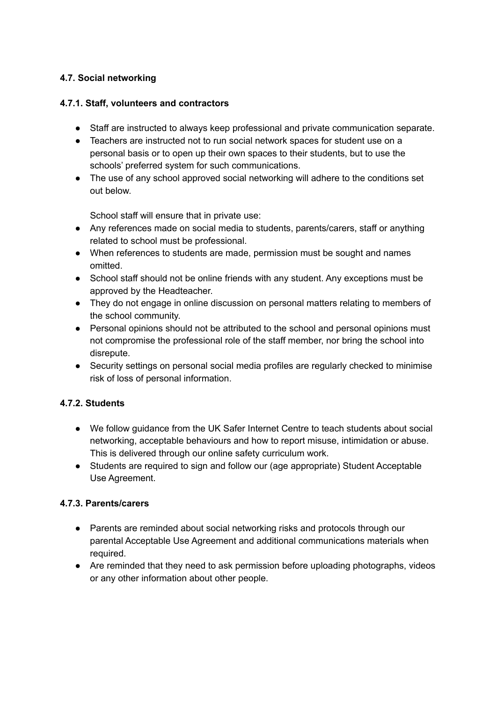## **4.7. Social networking**

#### **4.7.1. Staff, volunteers and contractors**

- Staff are instructed to always keep professional and private communication separate.
- Teachers are instructed not to run social network spaces for student use on a personal basis or to open up their own spaces to their students, but to use the schools' preferred system for such communications.
- The use of any school approved social networking will adhere to the conditions set out below.

School staff will ensure that in private use:

- Any references made on social media to students, parents/carers, staff or anything related to school must be professional.
- When references to students are made, permission must be sought and names omitted.
- School staff should not be online friends with any student. Any exceptions must be approved by the Headteacher.
- They do not engage in online discussion on personal matters relating to members of the school community.
- Personal opinions should not be attributed to the school and personal opinions must not compromise the professional role of the staff member, nor bring the school into disrepute.
- Security settings on personal social media profiles are regularly checked to minimise risk of loss of personal information.

#### **4.7.2. Students**

- We follow guidance from the UK Safer Internet Centre to teach students about social networking, acceptable behaviours and how to report misuse, intimidation or abuse. This is delivered through our online safety curriculum work.
- Students are required to sign and follow our (age appropriate) Student Acceptable Use Agreement.

#### **4.7.3. Parents/carers**

- Parents are reminded about social networking risks and protocols through our parental Acceptable Use Agreement and additional communications materials when required.
- Are reminded that they need to ask permission before uploading photographs, videos or any other information about other people.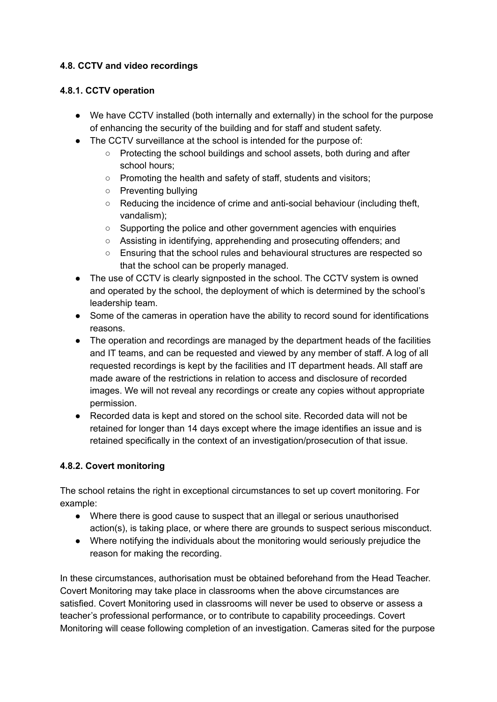#### **4.8. CCTV and video recordings**

#### **4.8.1. CCTV operation**

- We have CCTV installed (both internally and externally) in the school for the purpose of enhancing the security of the building and for staff and student safety.
- The CCTV surveillance at the school is intended for the purpose of:
	- Protecting the school buildings and school assets, both during and after school hours;
	- Promoting the health and safety of staff, students and visitors;
	- Preventing bullying
	- Reducing the incidence of crime and anti-social behaviour (including theft, vandalism);
	- Supporting the police and other government agencies with enquiries
	- Assisting in identifying, apprehending and prosecuting offenders; and
	- Ensuring that the school rules and behavioural structures are respected so that the school can be properly managed.
- The use of CCTV is clearly signposted in the school. The CCTV system is owned and operated by the school, the deployment of which is determined by the school's leadership team.
- Some of the cameras in operation have the ability to record sound for identifications reasons.
- The operation and recordings are managed by the department heads of the facilities and IT teams, and can be requested and viewed by any member of staff. A log of all requested recordings is kept by the facilities and IT department heads. All staff are made aware of the restrictions in relation to access and disclosure of recorded images. We will not reveal any recordings or create any copies without appropriate permission.
- Recorded data is kept and stored on the school site. Recorded data will not be retained for longer than 14 days except where the image identifies an issue and is retained specifically in the context of an investigation/prosecution of that issue.

# **4.8.2. Covert monitoring**

The school retains the right in exceptional circumstances to set up covert monitoring. For example:

- Where there is good cause to suspect that an illegal or serious unauthorised action(s), is taking place, or where there are grounds to suspect serious misconduct.
- Where notifying the individuals about the monitoring would seriously prejudice the reason for making the recording.

In these circumstances, authorisation must be obtained beforehand from the Head Teacher. Covert Monitoring may take place in classrooms when the above circumstances are satisfied. Covert Monitoring used in classrooms will never be used to observe or assess a teacher's professional performance, or to contribute to capability proceedings. Covert Monitoring will cease following completion of an investigation. Cameras sited for the purpose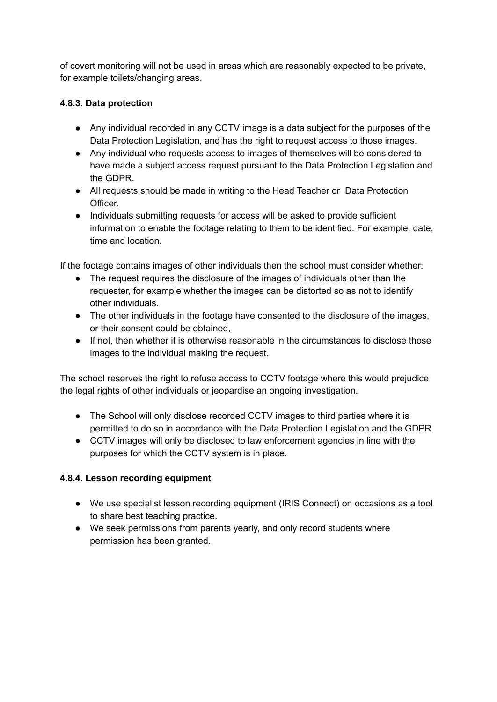of covert monitoring will not be used in areas which are reasonably expected to be private, for example toilets/changing areas.

## **4.8.3. Data protection**

- Any individual recorded in any CCTV image is a data subject for the purposes of the Data Protection Legislation, and has the right to request access to those images.
- Any individual who requests access to images of themselves will be considered to have made a subject access request pursuant to the Data Protection Legislation and the GDPR.
- All requests should be made in writing to the Head Teacher or Data Protection Officer.
- Individuals submitting requests for access will be asked to provide sufficient information to enable the footage relating to them to be identified. For example, date, time and location.

If the footage contains images of other individuals then the school must consider whether:

- The request requires the disclosure of the images of individuals other than the requester, for example whether the images can be distorted so as not to identify other individuals.
- The other individuals in the footage have consented to the disclosure of the images, or their consent could be obtained,
- If not, then whether it is otherwise reasonable in the circumstances to disclose those images to the individual making the request.

The school reserves the right to refuse access to CCTV footage where this would prejudice the legal rights of other individuals or jeopardise an ongoing investigation.

- The School will only disclose recorded CCTV images to third parties where it is permitted to do so in accordance with the Data Protection Legislation and the GDPR.
- CCTV images will only be disclosed to law enforcement agencies in line with the purposes for which the CCTV system is in place.

#### **4.8.4. Lesson recording equipment**

- We use specialist lesson recording equipment (IRIS Connect) on occasions as a tool to share best teaching practice.
- We seek permissions from parents yearly, and only record students where permission has been granted.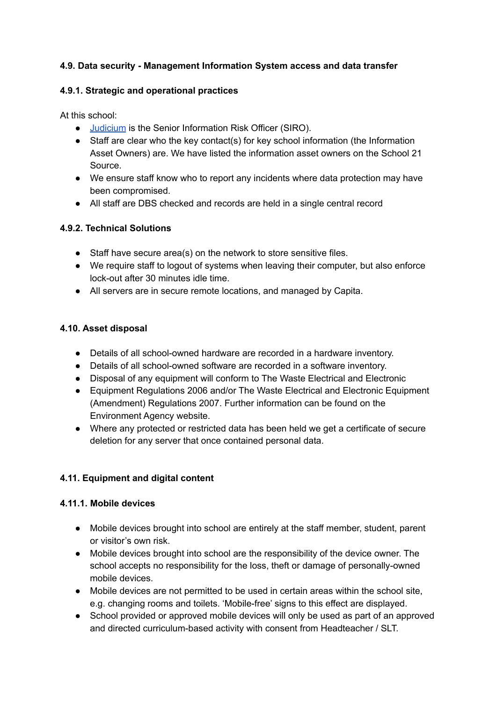#### **4.9. Data security - Management Information System access and data transfer**

#### **4.9.1. Strategic and operational practices**

At this school:

- [Judicium](https://www.judiciumeducation.co.uk/data-protection-officer) is the Senior Information Risk Officer (SIRO).
- Staff are clear who the key contact(s) for key school information (the Information Asset Owners) are. We have listed the information asset owners on the School 21 Source.
- We ensure staff know who to report any incidents where data protection may have been compromised.
- All staff are DBS checked and records are held in a single central record

# **4.9.2. Technical Solutions**

- Staff have secure area(s) on the network to store sensitive files.
- We require staff to logout of systems when leaving their computer, but also enforce lock-out after 30 minutes idle time.
- All servers are in secure remote locations, and managed by Capita.

#### **4.10. Asset disposal**

- Details of all school-owned hardware are recorded in a hardware inventory.
- Details of all school-owned software are recorded in a software inventory.
- Disposal of any equipment will conform to The Waste Electrical and Electronic
- Equipment Regulations 2006 and/or The Waste Electrical and Electronic Equipment (Amendment) Regulations 2007. Further information can be found on the Environment Agency website.
- Where any protected or restricted data has been held we get a certificate of secure deletion for any server that once contained personal data.

# **4.11. Equipment and digital content**

#### **4.11.1. Mobile devices**

- Mobile devices brought into school are entirely at the staff member, student, parent or visitor's own risk.
- Mobile devices brought into school are the responsibility of the device owner. The school accepts no responsibility for the loss, theft or damage of personally-owned mobile devices.
- Mobile devices are not permitted to be used in certain areas within the school site, e.g. changing rooms and toilets. 'Mobile-free' signs to this effect are displayed.
- School provided or approved mobile devices will only be used as part of an approved and directed curriculum-based activity with consent from Headteacher / SLT.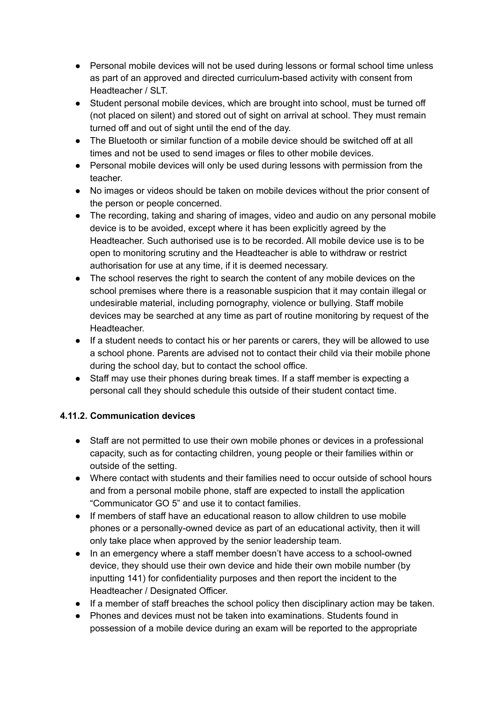- Personal mobile devices will not be used during lessons or formal school time unless as part of an approved and directed curriculum-based activity with consent from Headteacher / SLT.
- Student personal mobile devices, which are brought into school, must be turned off (not placed on silent) and stored out of sight on arrival at school. They must remain turned off and out of sight until the end of the day.
- The Bluetooth or similar function of a mobile device should be switched off at all times and not be used to send images or files to other mobile devices.
- Personal mobile devices will only be used during lessons with permission from the teacher.
- No images or videos should be taken on mobile devices without the prior consent of the person or people concerned.
- The recording, taking and sharing of images, video and audio on any personal mobile device is to be avoided, except where it has been explicitly agreed by the Headteacher. Such authorised use is to be recorded. All mobile device use is to be open to monitoring scrutiny and the Headteacher is able to withdraw or restrict authorisation for use at any time, if it is deemed necessary.
- The school reserves the right to search the content of any mobile devices on the school premises where there is a reasonable suspicion that it may contain illegal or undesirable material, including pornography, violence or bullying. Staff mobile devices may be searched at any time as part of routine monitoring by request of the Headteacher.
- If a student needs to contact his or her parents or carers, they will be allowed to use a school phone. Parents are advised not to contact their child via their mobile phone during the school day, but to contact the school office.
- Staff may use their phones during break times. If a staff member is expecting a personal call they should schedule this outside of their student contact time.

# **4.11.2. Communication devices**

- Staff are not permitted to use their own mobile phones or devices in a professional capacity, such as for contacting children, young people or their families within or outside of the setting.
- Where contact with students and their families need to occur outside of school hours and from a personal mobile phone, staff are expected to install the application "Communicator GO 5" and use it to contact families.
- If members of staff have an educational reason to allow children to use mobile phones or a personally-owned device as part of an educational activity, then it will only take place when approved by the senior leadership team.
- In an emergency where a staff member doesn't have access to a school-owned device, they should use their own device and hide their own mobile number (by inputting 141) for confidentiality purposes and then report the incident to the Headteacher / Designated Officer.
- If a member of staff breaches the school policy then disciplinary action may be taken.
- Phones and devices must not be taken into examinations. Students found in possession of a mobile device during an exam will be reported to the appropriate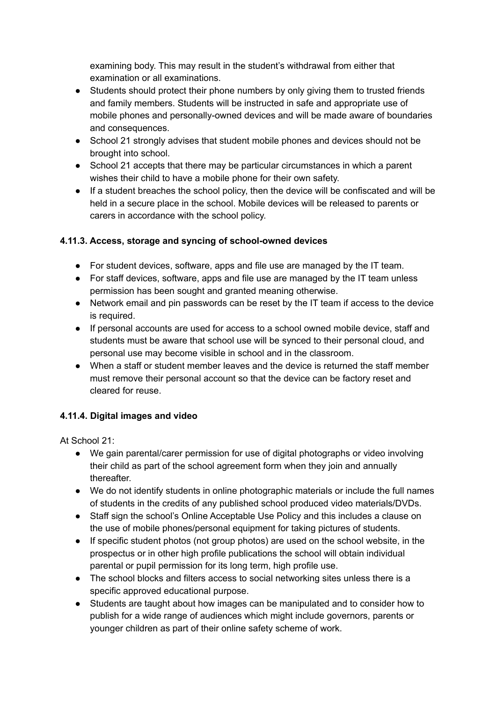examining body. This may result in the student's withdrawal from either that examination or all examinations.

- Students should protect their phone numbers by only giving them to trusted friends and family members. Students will be instructed in safe and appropriate use of mobile phones and personally-owned devices and will be made aware of boundaries and consequences.
- School 21 strongly advises that student mobile phones and devices should not be brought into school.
- School 21 accepts that there may be particular circumstances in which a parent wishes their child to have a mobile phone for their own safety.
- If a student breaches the school policy, then the device will be confiscated and will be held in a secure place in the school. Mobile devices will be released to parents or carers in accordance with the school policy.

# **4.11.3. Access, storage and syncing of school-owned devices**

- For student devices, software, apps and file use are managed by the IT team.
- For staff devices, software, apps and file use are managed by the IT team unless permission has been sought and granted meaning otherwise.
- Network email and pin passwords can be reset by the IT team if access to the device is required.
- If personal accounts are used for access to a school owned mobile device, staff and students must be aware that school use will be synced to their personal cloud, and personal use may become visible in school and in the classroom.
- When a staff or student member leaves and the device is returned the staff member must remove their personal account so that the device can be factory reset and cleared for reuse.

# **4.11.4. Digital images and video**

At School 21:

- We gain parental/carer permission for use of digital photographs or video involving their child as part of the school agreement form when they join and annually thereafter.
- We do not identify students in online photographic materials or include the full names of students in the credits of any published school produced video materials/DVDs.
- Staff sign the school's Online Acceptable Use Policy and this includes a clause on the use of mobile phones/personal equipment for taking pictures of students.
- If specific student photos (not group photos) are used on the school website, in the prospectus or in other high profile publications the school will obtain individual parental or pupil permission for its long term, high profile use.
- The school blocks and filters access to social networking sites unless there is a specific approved educational purpose.
- Students are taught about how images can be manipulated and to consider how to publish for a wide range of audiences which might include governors, parents or younger children as part of their online safety scheme of work.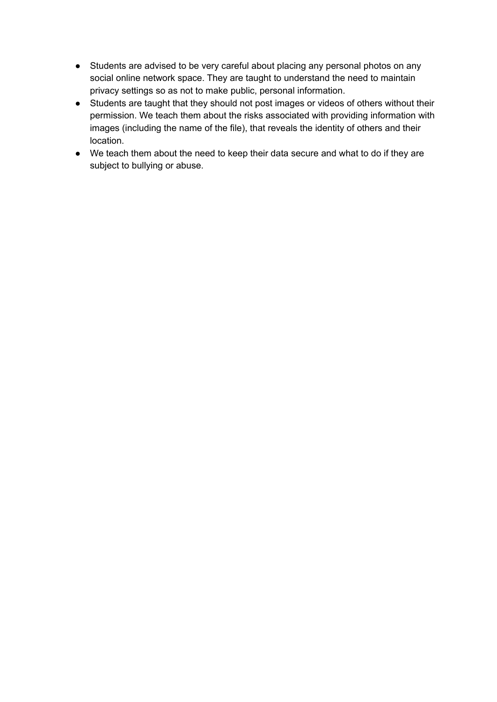- Students are advised to be very careful about placing any personal photos on any social online network space. They are taught to understand the need to maintain privacy settings so as not to make public, personal information.
- Students are taught that they should not post images or videos of others without their permission. We teach them about the risks associated with providing information with images (including the name of the file), that reveals the identity of others and their location.
- We teach them about the need to keep their data secure and what to do if they are subject to bullying or abuse.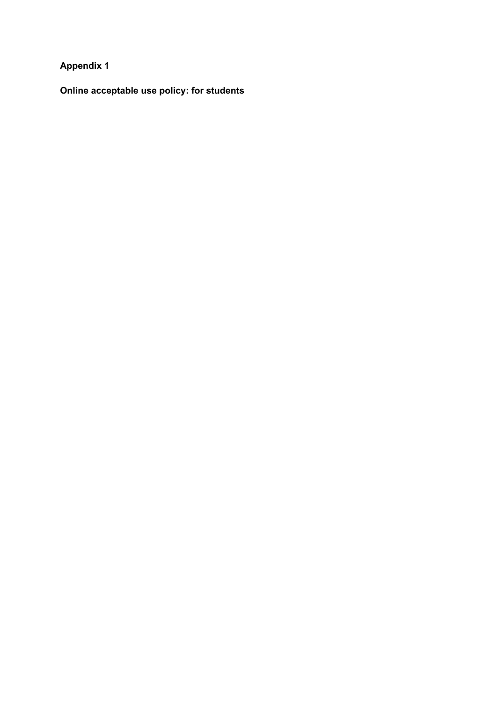# **Appendix 1**

**Online acceptable use policy: for students**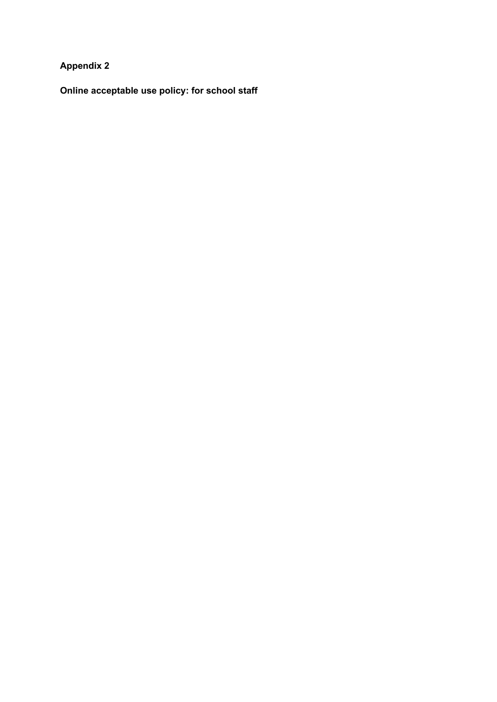**Appendix 2**

**Online acceptable use policy: for school staff**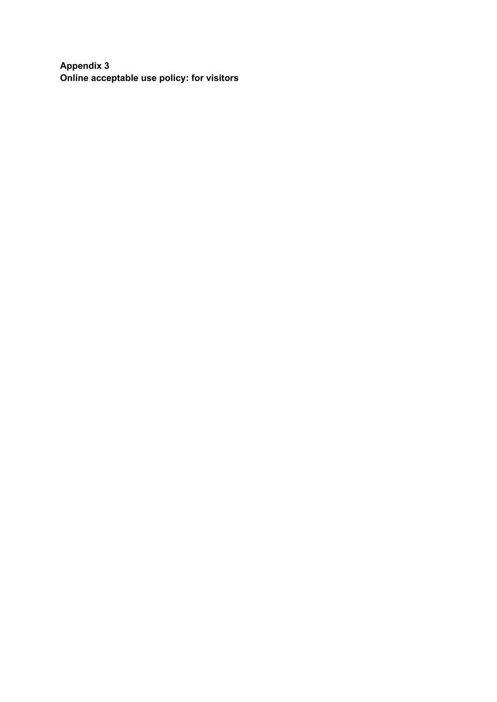**Appendix 3 Online acceptable use policy: for visitors**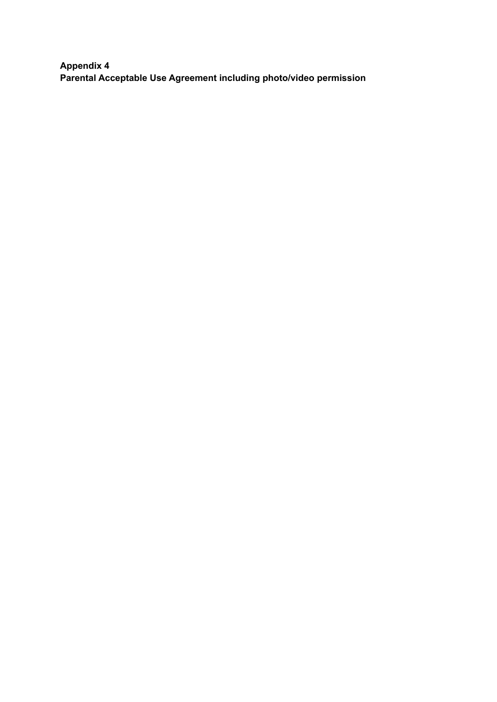**Appendix 4 Parental Acceptable Use Agreement including photo/video permission**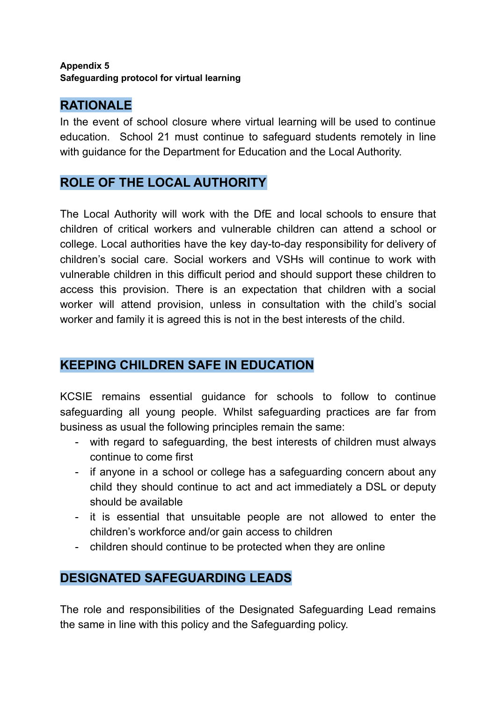# **Appendix 5 Safeguarding protocol for virtual learning**

# **RATIONALE**

In the event of school closure where virtual learning will be used to continue education. School 21 must continue to safeguard students remotely in line with guidance for the Department for Education and the Local Authority.

# **ROLE OF THE LOCAL AUTHORITY**

The Local Authority will work with the DfE and local schools to ensure that children of critical workers and vulnerable children can attend a school or college. Local authorities have the key day-to-day responsibility for delivery of children's social care. Social workers and VSHs will continue to work with vulnerable children in this difficult period and should support these children to access this provision. There is an expectation that children with a social worker will attend provision, unless in consultation with the child's social worker and family it is agreed this is not in the best interests of the child.

# **KEEPING CHILDREN SAFE IN EDUCATION**

KCSIE remains essential guidance for schools to follow to continue safeguarding all young people. Whilst safeguarding practices are far from business as usual the following principles remain the same:

- with regard to safeguarding, the best interests of children must always continue to come first
- if anyone in a school or college has a safeguarding concern about any child they should continue to act and act immediately a DSL or deputy should be available
- it is essential that unsuitable people are not allowed to enter the children's workforce and/or gain access to children
- children should continue to be protected when they are online

# **DESIGNATED SAFEGUARDING LEADS**

The role and responsibilities of the Designated Safeguarding Lead remains the same in line with this policy and the Safeguarding policy.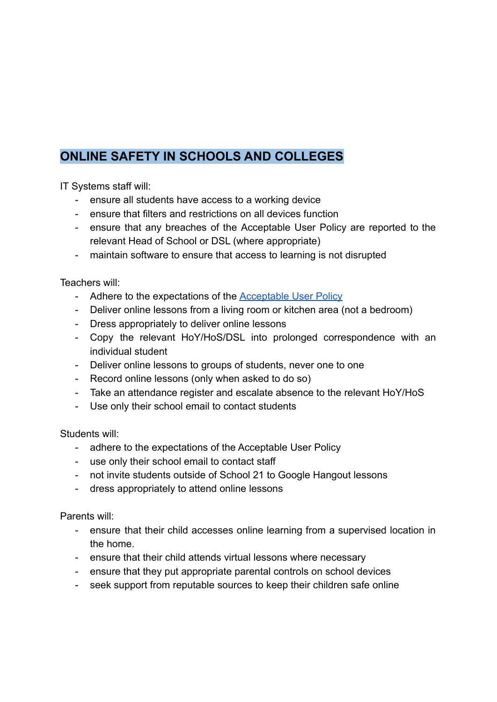# **ONLINE SAFETY IN SCHOOLS AND COLLEGES**

IT Systems staff will:

- ensure all students have access to a working device
- ensure that filters and restrictions on all devices function
- ensure that any breaches of the Acceptable User Policy are reported to the relevant Head of School or DSL (where appropriate)
- maintain software to ensure that access to learning is not disrupted

Teachers will:

- Adhere to the expectations of the **[Acceptable User](https://drive.google.com/drive/folders/0B68uDtK8dVZyV0xBQnFLXzJHRUU) Policy**
- Deliver online lessons from a living room or kitchen area (not a bedroom)
- Dress appropriately to deliver online lessons
- Copy the relevant HoY/HoS/DSL into prolonged correspondence with an individual student
- Deliver online lessons to groups of students, never one to one
- Record online lessons (only when asked to do so)
- Take an attendance register and escalate absence to the relevant HoY/HoS
- Use only their school email to contact students

Students will:

- adhere to the expectations of the Acceptable User Policy
- use only their school email to contact staff
- not invite students outside of School 21 to Google Hangout lessons
- dress appropriately to attend online lessons

Parents will:

- ensure that their child accesses online learning from a supervised location in the home.
- ensure that their child attends virtual lessons where necessary
- ensure that they put appropriate parental controls on school devices
- seek support from reputable sources to keep their children safe online